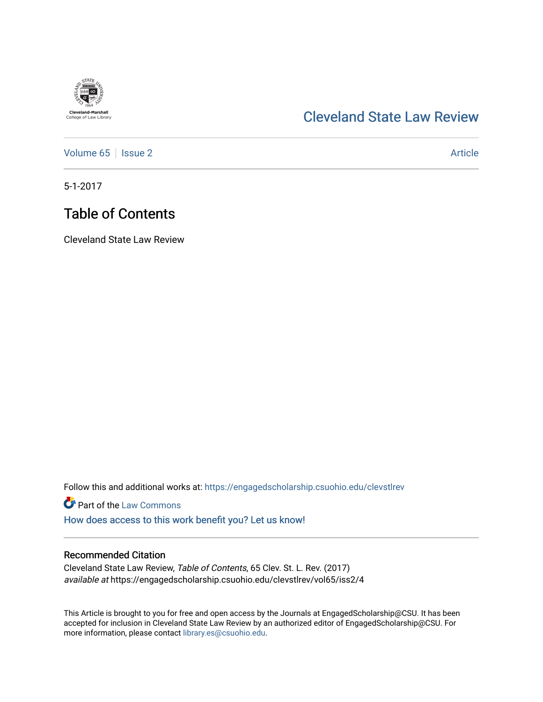# **Cleveland-Marshall**<br>College of Law Library

### [Cleveland State Law Review](https://engagedscholarship.csuohio.edu/clevstlrev)

[Volume 65](https://engagedscholarship.csuohio.edu/clevstlrev/vol65) | [Issue 2](https://engagedscholarship.csuohio.edu/clevstlrev/vol65/iss2) Article

5-1-2017

## Table of Contents

Cleveland State Law Review

Follow this and additional works at: [https://engagedscholarship.csuohio.edu/clevstlrev](https://engagedscholarship.csuohio.edu/clevstlrev?utm_source=engagedscholarship.csuohio.edu%2Fclevstlrev%2Fvol65%2Fiss2%2F4&utm_medium=PDF&utm_campaign=PDFCoverPages)

**Part of the [Law Commons](http://network.bepress.com/hgg/discipline/578?utm_source=engagedscholarship.csuohio.edu%2Fclevstlrev%2Fvol65%2Fiss2%2F4&utm_medium=PDF&utm_campaign=PDFCoverPages)** 

[How does access to this work benefit you? Let us know!](http://library.csuohio.edu/engaged/)

#### Recommended Citation

Cleveland State Law Review, Table of Contents, 65 Clev. St. L. Rev. (2017) available at https://engagedscholarship.csuohio.edu/clevstlrev/vol65/iss2/4

This Article is brought to you for free and open access by the Journals at EngagedScholarship@CSU. It has been accepted for inclusion in Cleveland State Law Review by an authorized editor of EngagedScholarship@CSU. For more information, please contact [library.es@csuohio.edu](mailto:library.es@csuohio.edu).